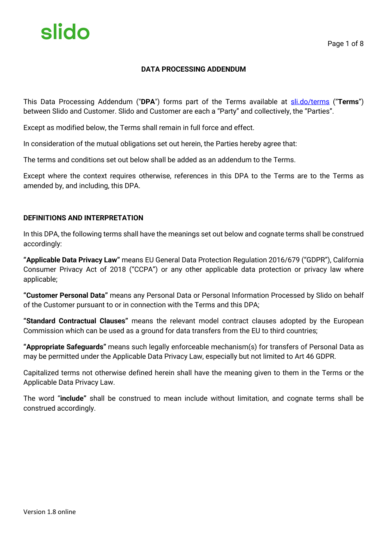#### **DATA PROCESSING ADDENDUM**

This Data Processing Addendum ("**DPA**") forms part of the Terms available at sli.do/terms ("**Terms**") between Slido and Customer. Slido and Customer are each a "Party" and collectively, the "Parties".

Except as modified below, the Terms shall remain in full force and effect.

In consideration of the mutual obligations set out herein, the Parties hereby agree that:

The terms and conditions set out below shall be added as an addendum to the Terms.

Except where the context requires otherwise, references in this DPA to the Terms are to the Terms as amended by, and including, this DPA.

#### **DEFINITIONS AND INTERPRETATION**

In this DPA, the following terms shall have the meanings set out below and cognate terms shall be construed accordingly:

**"Applicable Data Privacy Law"** means EU General Data Protection Regulation 2016/679 ("GDPR"), California Consumer Privacy Act of 2018 ("CCPA") or any other applicable data protection or privacy law where applicable;

**"Customer Personal Data"** means any Personal Data or Personal Information Processed by Slido on behalf of the Customer pursuant to or in connection with the Terms and this DPA;

**"Standard Contractual Clauses"** means the relevant model contract clauses adopted by the European Commission which can be used as a ground for data transfers from the EU to third countries;

**"Appropriate Safeguards"** means such legally enforceable mechanism(s) for transfers of Personal Data as may be permitted under the Applicable Data Privacy Law, especially but not limited to Art 46 GDPR.

Capitalized terms not otherwise defined herein shall have the meaning given to them in the Terms or the Applicable Data Privacy Law.

The word "**include"** shall be construed to mean include without limitation, and cognate terms shall be construed accordingly.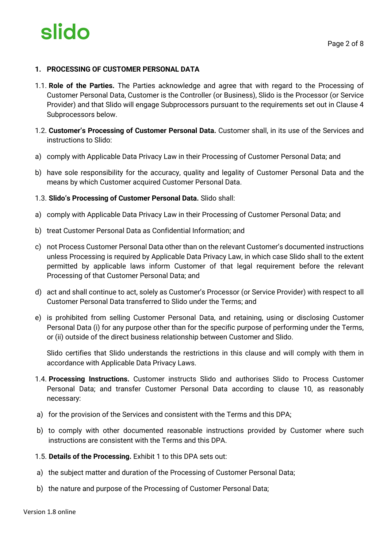

#### **1. PROCESSING OF CUSTOMER PERSONAL DATA**

- 1.1. **Role of the Parties.** The Parties acknowledge and agree that with regard to the Processing of Customer Personal Data, Customer is the Controller (or Business), Slido is the Processor (or Service Provider) and that Slido will engage Subprocessors pursuant to the requirements set out in Clause 4 Subprocessors below.
- 1.2. **Customer's Processing of Customer Personal Data.** Customer shall, in its use of the Services and instructions to Slido:
- a) comply with Applicable Data Privacy Law in their Processing of Customer Personal Data; and
- b) have sole responsibility for the accuracy, quality and legality of Customer Personal Data and the means by which Customer acquired Customer Personal Data.
- 1.3. **Slido's Processing of Customer Personal Data.** Slido shall:
- a) comply with Applicable Data Privacy Law in their Processing of Customer Personal Data; and
- b) treat Customer Personal Data as Confidential Information; and
- c) not Process Customer Personal Data other than on the relevant Customer's documented instructions unless Processing is required by Applicable Data Privacy Law, in which case Slido shall to the extent permitted by applicable laws inform Customer of that legal requirement before the relevant Processing of that Customer Personal Data; and
- d) act and shall continue to act, solely as Customer's Processor (or Service Provider) with respect to all Customer Personal Data transferred to Slido under the Terms; and
- e) is prohibited from selling Customer Personal Data, and retaining, using or disclosing Customer Personal Data (i) for any purpose other than for the specific purpose of performing under the Terms, or (ii) outside of the direct business relationship between Customer and Slido.

Slido certifies that Slido understands the restrictions in this clause and will comply with them in accordance with Applicable Data Privacy Laws.

- 1.4. **Processing Instructions.** Customer instructs Slido and authorises Slido to Process Customer Personal Data; and transfer Customer Personal Data according to clause 10, as reasonably necessary:
- a) for the provision of the Services and consistent with the Terms and this DPA;
- b) to comply with other documented reasonable instructions provided by Customer where such instructions are consistent with the Terms and this DPA.
- 1.5. **Details of the Processing.** Exhibit 1 to this DPA sets out:
- a) the subject matter and duration of the Processing of Customer Personal Data;
- b) the nature and purpose of the Processing of Customer Personal Data;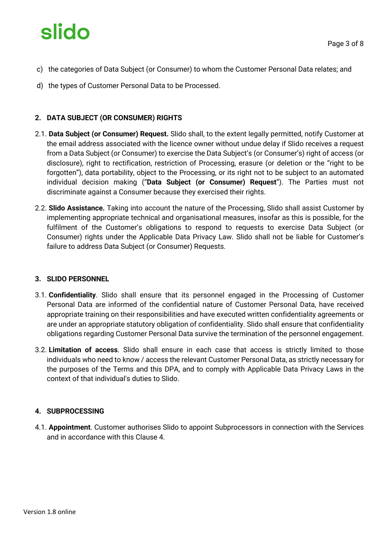- c) the categories of Data Subject (or Consumer) to whom the Customer Personal Data relates; and
- d) the types of Customer Personal Data to be Processed.

### **2. DATA SUBJECT (OR CONSUMER) RIGHTS**

- 2.1. **Data Subject (or Consumer) Request.** Slido shall, to the extent legally permitted, notify Customer at the email address associated with the licence owner without undue delay if Slido receives a request from a Data Subject (or Consumer) to exercise the Data Subject's (or Consumer's) right of access (or disclosure), right to rectification, restriction of Processing, erasure (or deletion or the "right to be forgotten"), data portability, object to the Processing, or its right not to be subject to an automated individual decision making ("**Data Subject (or Consumer) Request**"). The Parties must not discriminate against a Consumer because they exercised their rights.
- 2.2. **Slido Assistance.** Taking into account the nature of the Processing, Slido shall assist Customer by implementing appropriate technical and organisational measures, insofar as this is possible, for the fulfilment of the Customer's obligations to respond to requests to exercise Data Subject (or Consumer) rights under the Applicable Data Privacy Law. Slido shall not be liable for Customer's failure to address Data Subject (or Consumer) Requests.

#### **3. SLIDO PERSONNEL**

- 3.1. **Confidentiality**. Slido shall ensure that its personnel engaged in the Processing of Customer Personal Data are informed of the confidential nature of Customer Personal Data, have received appropriate training on their responsibilities and have executed written confidentiality agreements or are under an appropriate statutory obligation of confidentiality. Slido shall ensure that confidentiality obligations regarding Customer Personal Data survive the termination of the personnel engagement.
- 3.2. **Limitation of access**. Slido shall ensure in each case that access is strictly limited to those individuals who need to know / access the relevant Customer Personal Data, as strictly necessary for the purposes of the Terms and this DPA, and to comply with Applicable Data Privacy Laws in the context of that individual's duties to Slido.

#### **4. SUBPROCESSING**

4.1. **Appointment**. Customer authorises Slido to appoint Subprocessors in connection with the Services and in accordance with this Clause 4.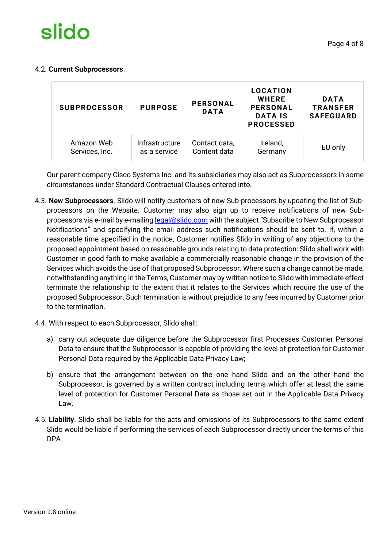

#### 4.2. **Current Subprocessors**.

| <b>SUBPROCESSOR</b> | <b>PURPOSE</b> | <b>PERSONAL</b><br><b>DATA</b> | LOCATION<br><b>WHERE</b><br><b>PERSONAL</b><br><b>DATA IS</b><br><b>PROCESSED</b> | <b>DATA</b><br><b>TRANSFER</b><br><b>SAFEGUARD</b> |
|---------------------|----------------|--------------------------------|-----------------------------------------------------------------------------------|----------------------------------------------------|
| Amazon Web          | Infrastructure | Contact data,                  | Ireland,                                                                          | EU only                                            |
| Services, Inc.      | as a service   | Content data                   | Germany                                                                           |                                                    |

Our parent company Cisco Systems Inc. and its subsidiaries may also act as Subprocessors in some circumstances under Standard Contractual Clauses entered into.

- 4.3. **New Subprocessors**. Slido will notify customers of new Sub-processors by updating the list of Subprocessors on the Website. Customer may also sign up to receive notifications of new Subprocessors via e-mail by e-mailing legal@slido.com with the subject "Subscribe to New Subprocessor Notifications" and specifying the email address such notifications should be sent to. If, within a reasonable time specified in the notice, Customer notifies Slido in writing of any objections to the proposed appointment based on reasonable grounds relating to data protection: Slido shall work with Customer in good faith to make available a commercially reasonable change in the provision of the Services which avoids the use of that proposed Subprocessor. Where such a change cannot be made, notwithstanding anything in the Terms, Customer may by written notice to Slido with immediate effect terminate the relationship to the extent that it relates to the Services which require the use of the proposed Subprocessor. Such termination is without prejudice to any fees incurred by Customer prior to the termination.
- 4.4. With respect to each Subprocessor, Slido shall:
	- a) carry out adequate due diligence before the Subprocessor first Processes Customer Personal Data to ensure that the Subprocessor is capable of providing the level of protection for Customer Personal Data required by the Applicable Data Privacy Law;
	- b) ensure that the arrangement between on the one hand Slido and on the other hand the Subprocessor, is governed by a written contract including terms which offer at least the same level of protection for Customer Personal Data as those set out in the Applicable Data Privacy Law.
- 4.5. **Liability**. Slido shall be liable for the acts and omissions of its Subprocessors to the same extent Slido would be liable if performing the services of each Subprocessor directly under the terms of this DPA.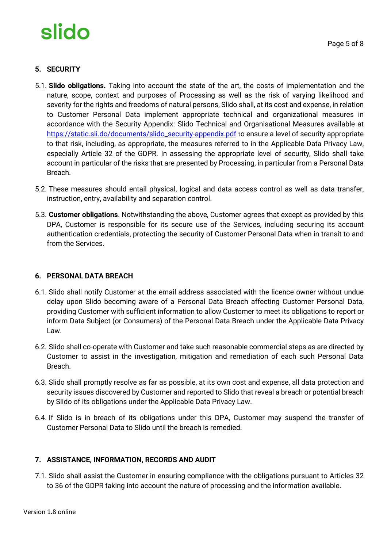## **5. SECURITY**

- 5.1. **Slido obligations.** Taking into account the state of the art, the costs of implementation and the nature, scope, context and purposes of Processing as well as the risk of varying likelihood and severity for the rights and freedoms of natural persons, Slido shall, at its cost and expense, in relation to Customer Personal Data implement appropriate technical and organizational measures in accordance with the Security Appendix: Slido Technical and Organisational Measures available at https://static.sli.do/documents/slido\_security-appendix.pdf to ensure a level of security appropriate to that risk, including, as appropriate, the measures referred to in the Applicable Data Privacy Law, especially Article 32 of the GDPR. In assessing the appropriate level of security, Slido shall take account in particular of the risks that are presented by Processing, in particular from a Personal Data Breach.
- 5.2. These measures should entail physical, logical and data access control as well as data transfer, instruction, entry, availability and separation control.
- 5.3. **Customer obligations**. Notwithstanding the above, Customer agrees that except as provided by this DPA, Customer is responsible for its secure use of the Services, including securing its account authentication credentials, protecting the security of Customer Personal Data when in transit to and from the Services.

#### **6. PERSONAL DATA BREACH**

- 6.1. Slido shall notify Customer at the email address associated with the licence owner without undue delay upon Slido becoming aware of a Personal Data Breach affecting Customer Personal Data, providing Customer with sufficient information to allow Customer to meet its obligations to report or inform Data Subject (or Consumers) of the Personal Data Breach under the Applicable Data Privacy Law.
- 6.2. Slido shall co-operate with Customer and take such reasonable commercial steps as are directed by Customer to assist in the investigation, mitigation and remediation of each such Personal Data Breach.
- 6.3. Slido shall promptly resolve as far as possible, at its own cost and expense, all data protection and security issues discovered by Customer and reported to Slido that reveal a breach or potential breach by Slido of its obligations under the Applicable Data Privacy Law.
- 6.4. If Slido is in breach of its obligations under this DPA, Customer may suspend the transfer of Customer Personal Data to Slido until the breach is remedied.

## **7. ASSISTANCE, INFORMATION, RECORDS AND AUDIT**

7.1. Slido shall assist the Customer in ensuring compliance with the obligations pursuant to Articles 32 to 36 of the GDPR taking into account the nature of processing and the information available.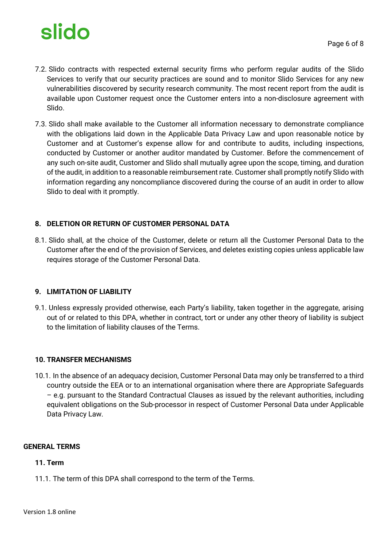- 7.2. Slido contracts with respected external security firms who perform regular audits of the Slido Services to verify that our security practices are sound and to monitor Slido Services for any new vulnerabilities discovered by security research community. The most recent report from the audit is available upon Customer request once the Customer enters into a non-disclosure agreement with Slido.
- 7.3. Slido shall make available to the Customer all information necessary to demonstrate compliance with the obligations laid down in the Applicable Data Privacy Law and upon reasonable notice by Customer and at Customer's expense allow for and contribute to audits, including inspections, conducted by Customer or another auditor mandated by Customer. Before the commencement of any such on-site audit, Customer and Slido shall mutually agree upon the scope, timing, and duration of the audit, in addition to a reasonable reimbursement rate. Customer shall promptly notify Slido with information regarding any noncompliance discovered during the course of an audit in order to allow Slido to deal with it promptly.

### **8. DELETION OR RETURN OF CUSTOMER PERSONAL DATA**

8.1. Slido shall, at the choice of the Customer, delete or return all the Customer Personal Data to the Customer after the end of the provision of Services, and deletes existing copies unless applicable law requires storage of the Customer Personal Data.

#### **9. LIMITATION OF LIABILITY**

9.1. Unless expressly provided otherwise, each Party's liability, taken together in the aggregate, arising out of or related to this DPA, whether in contract, tort or under any other theory of liability is subject to the limitation of liability clauses of the Terms.

#### **10. TRANSFER MECHANISMS**

10.1. In the absence of an adequacy decision, Customer Personal Data may only be transferred to a third country outside the EEA or to an international organisation where there are Appropriate Safeguards – e.g. pursuant to the Standard Contractual Clauses as issued by the relevant authorities, including equivalent obligations on the Sub-processor in respect of Customer Personal Data under Applicable Data Privacy Law.

#### **GENERAL TERMS**

#### **11. Term**

11.1. The term of this DPA shall correspond to the term of the Terms.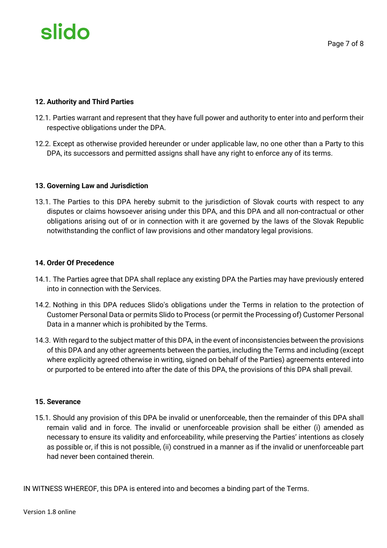#### **12. Authority and Third Parties**

- 12.1. Parties warrant and represent that they have full power and authority to enter into and perform their respective obligations under the DPA.
- 12.2. Except as otherwise provided hereunder or under applicable law, no one other than a Party to this DPA, its successors and permitted assigns shall have any right to enforce any of its terms.

#### **13. Governing Law and Jurisdiction**

13.1. The Parties to this DPA hereby submit to the jurisdiction of Slovak courts with respect to any disputes or claims howsoever arising under this DPA, and this DPA and all non-contractual or other obligations arising out of or in connection with it are governed by the laws of the Slovak Republic notwithstanding the conflict of law provisions and other mandatory legal provisions.

#### **14. Order Of Precedence**

- 14.1. The Parties agree that DPA shall replace any existing DPA the Parties may have previously entered into in connection with the Services.
- 14.2. Nothing in this DPA reduces Slido's obligations under the Terms in relation to the protection of Customer Personal Data or permits Slido to Process (or permit the Processing of) Customer Personal Data in a manner which is prohibited by the Terms.
- 14.3. With regard to the subject matter of this DPA, in the event of inconsistencies between the provisions of this DPA and any other agreements between the parties, including the Terms and including (except where explicitly agreed otherwise in writing, signed on behalf of the Parties) agreements entered into or purported to be entered into after the date of this DPA, the provisions of this DPA shall prevail.

#### **15. Severance**

15.1. Should any provision of this DPA be invalid or unenforceable, then the remainder of this DPA shall remain valid and in force. The invalid or unenforceable provision shall be either (i) amended as necessary to ensure its validity and enforceability, while preserving the Parties' intentions as closely as possible or, if this is not possible, (ii) construed in a manner as if the invalid or unenforceable part had never been contained therein.

IN WITNESS WHEREOF, this DPA is entered into and becomes a binding part of the Terms.